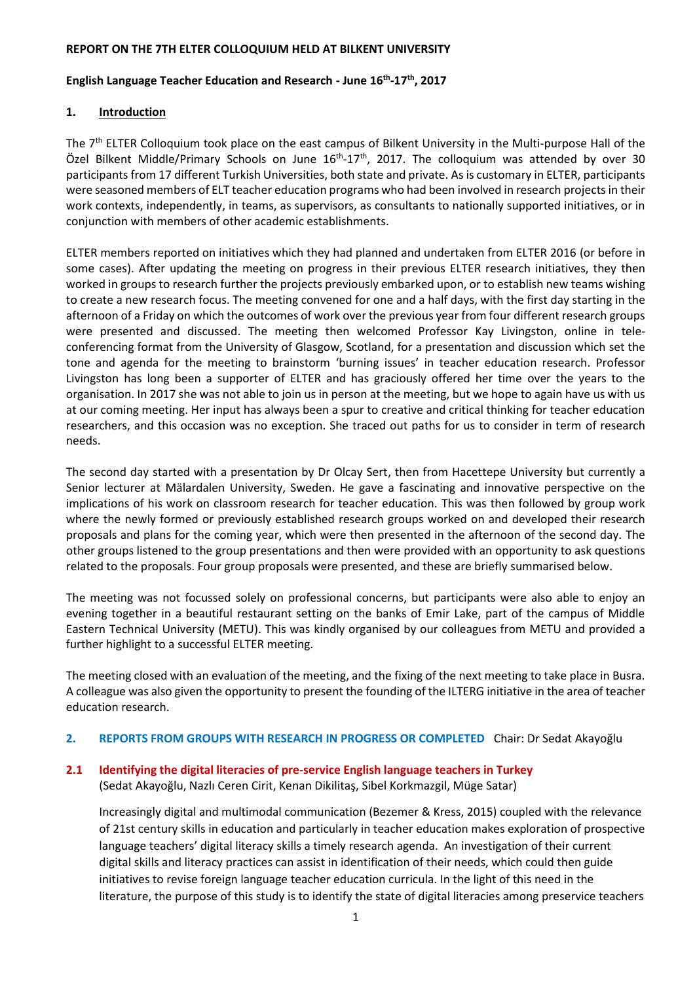#### **REPORT ON THE 7TH ELTER COLLOQUIUM HELD AT BILKENT UNIVERSITY**

#### **English Language Teacher Education and Research - June 16th -17th, 2017**

## **1. Introduction**

The 7<sup>th</sup> ELTER Colloquium took place on the east campus of Bilkent University in the Multi-purpose Hall of the Özel Bilkent Middle/Primary Schools on June 16<sup>th</sup>-17<sup>th</sup>, 2017. The colloquium was attended by over 30 participants from 17 different Turkish Universities, both state and private. As is customary in ELTER, participants were seasoned members of ELT teacher education programs who had been involved in research projects in their work contexts, independently, in teams, as supervisors, as consultants to nationally supported initiatives, or in conjunction with members of other academic establishments.

ELTER members reported on initiatives which they had planned and undertaken from ELTER 2016 (or before in some cases). After updating the meeting on progress in their previous ELTER research initiatives, they then worked in groups to research further the projects previously embarked upon, or to establish new teams wishing to create a new research focus. The meeting convened for one and a half days, with the first day starting in the afternoon of a Friday on which the outcomes of work over the previous year from four different research groups were presented and discussed. The meeting then welcomed Professor Kay Livingston, online in teleconferencing format from the University of Glasgow, Scotland, for a presentation and discussion which set the tone and agenda for the meeting to brainstorm 'burning issues' in teacher education research. Professor Livingston has long been a supporter of ELTER and has graciously offered her time over the years to the organisation. In 2017 she was not able to join us in person at the meeting, but we hope to again have us with us at our coming meeting. Her input has always been a spur to creative and critical thinking for teacher education researchers, and this occasion was no exception. She traced out paths for us to consider in term of research needs.

The second day started with a presentation by Dr Olcay Sert, then from Hacettepe University but currently a Senior lecturer at Mälardalen University, Sweden. He gave a fascinating and innovative perspective on the implications of his work on classroom research for teacher education. This was then followed by group work where the newly formed or previously established research groups worked on and developed their research proposals and plans for the coming year, which were then presented in the afternoon of the second day. The other groups listened to the group presentations and then were provided with an opportunity to ask questions related to the proposals. Four group proposals were presented, and these are briefly summarised below.

The meeting was not focussed solely on professional concerns, but participants were also able to enjoy an evening together in a beautiful restaurant setting on the banks of Emir Lake, part of the campus of Middle Eastern Technical University (METU). This was kindly organised by our colleagues from METU and provided a further highlight to a successful ELTER meeting.

The meeting closed with an evaluation of the meeting, and the fixing of the next meeting to take place in Busra. A colleague was also given the opportunity to present the founding of the ILTERG initiative in the area of teacher education research.

## **2. REPORTS FROM GROUPS WITH RESEARCH IN PROGRESS OR COMPLETED** Chair: Dr Sedat Akayoğlu

## **2.1 Identifying the digital literacies of pre-service English language teachers in Turkey** (Sedat Akayoğlu, Nazlı Ceren Cirit, Kenan Dikilitaş, Sibel Korkmazgil, Müge Satar)

Increasingly digital and multimodal communication (Bezemer & Kress, 2015) coupled with the relevance of 21st century skills in education and particularly in teacher education makes exploration of prospective language teachers' digital literacy skills a timely research agenda. An investigation of their current digital skills and literacy practices can assist in identification of their needs, which could then guide initiatives to revise foreign language teacher education curricula. In the light of this need in the literature, the purpose of this study is to identify the state of digital literacies among preservice teachers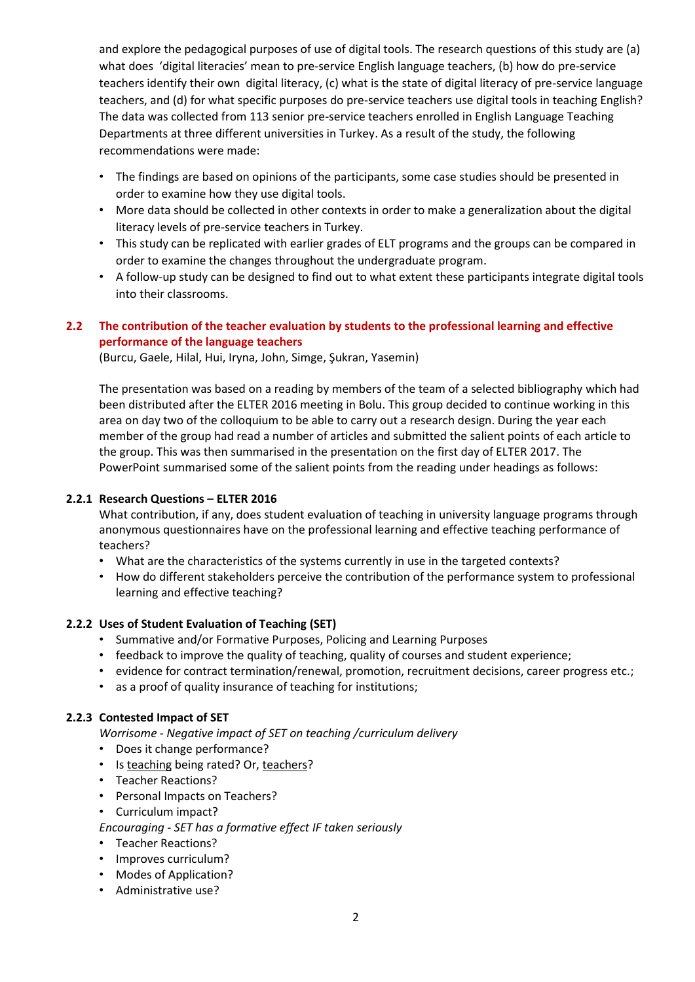and explore the pedagogical purposes of use of digital tools. The research questions of this study are (a) what does 'digital literacies' mean to pre-service English language teachers, (b) how do pre-service teachers identify their own digital literacy, (c) what is the state of digital literacy of pre-service language teachers, and (d) for what specific purposes do pre-service teachers use digital tools in teaching English? The data was collected from 113 senior pre-service teachers enrolled in English Language Teaching Departments at three different universities in Turkey. As a result of the study, the following recommendations were made:

- The findings are based on opinions of the participants, some case studies should be presented in order to examine how they use digital tools.
- More data should be collected in other contexts in order to make a generalization about the digital literacy levels of pre-service teachers in Turkey.
- This study can be replicated with earlier grades of ELT programs and the groups can be compared in order to examine the changes throughout the undergraduate program.
- A follow-up study can be designed to find out to what extent these participants integrate digital tools into their classrooms.

# **2.2 The contribution of the teacher evaluation by students to the professional learning and effective performance of the language teachers**

(Burcu, Gaele, Hilal, Hui, Iryna, John, Simge, Şukran, Yasemin)

The presentation was based on a reading by members of the team of a selected bibliography which had been distributed after the ELTER 2016 meeting in Bolu. This group decided to continue working in this area on day two of the colloquium to be able to carry out a research design. During the year each member of the group had read a number of articles and submitted the salient points of each article to the group. This was then summarised in the presentation on the first day of ELTER 2017. The PowerPoint summarised some of the salient points from the reading under headings as follows:

# **2.2.1 Research Questions – ELTER 2016**

What contribution, if any, does student evaluation of teaching in university language programs through anonymous questionnaires have on the professional learning and effective teaching performance of teachers?

- What are the characteristics of the systems currently in use in the targeted contexts?
- How do different stakeholders perceive the contribution of the performance system to professional learning and effective teaching?

## **2.2.2 Uses of Student Evaluation of Teaching (SET)**

- Summative and/or Formative Purposes, Policing and Learning Purposes
- feedback to improve the quality of teaching, quality of courses and student experience;
- evidence for contract termination/renewal, promotion, recruitment decisions, career progress etc.;
- as a proof of quality insurance of teaching for institutions;

## **2.2.3 Contested Impact of SET**

*Worrisome - Negative impact of SET on teaching /curriculum delivery*

- Does it change performance?
- Is teaching being rated? Or, teachers?
- Teacher Reactions?
- Personal Impacts on Teachers?
- Curriculum impact?

## *Encouraging - SET has a formative effect IF taken seriously*

- Teacher Reactions?
- Improves curriculum?
- Modes of Application?
- Administrative use?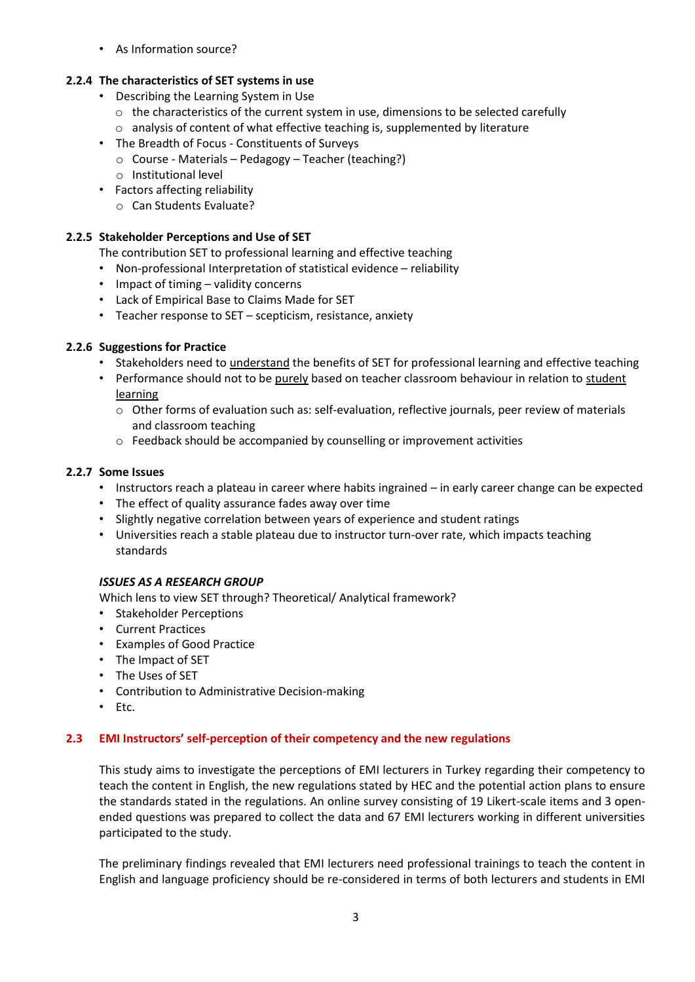• As Information source?

# **2.2.4 The characteristics of SET systems in use**

- Describing the Learning System in Use
	- $\circ$  the characteristics of the current system in use, dimensions to be selected carefully
	- o analysis of content of what effective teaching is, supplemented by literature
- The Breadth of Focus Constituents of Surveys
	- o Course Materials Pedagogy Teacher (teaching?)
	- o Institutional level
- Factors affecting reliability
	- o Can Students Evaluate?

# **2.2.5 Stakeholder Perceptions and Use of SET**

The contribution SET to professional learning and effective teaching

- Non-professional Interpretation of statistical evidence reliability
- Impact of timing validity concerns
- Lack of Empirical Base to Claims Made for SET
- Teacher response to SET scepticism, resistance, anxiety

# **2.2.6 Suggestions for Practice**

- Stakeholders need to understand the benefits of SET for professional learning and effective teaching
- Performance should not to be purely based on teacher classroom behaviour in relation to student learning
	- o Other forms of evaluation such as: self-evaluation, reflective journals, peer review of materials and classroom teaching
	- $\circ$  Feedback should be accompanied by counselling or improvement activities

# **2.2.7 Some Issues**

- Instructors reach a plateau in career where habits ingrained in early career change can be expected
- The effect of quality assurance fades away over time
- Slightly negative correlation between years of experience and student ratings
- Universities reach a stable plateau due to instructor turn-over rate, which impacts teaching standards

# *ISSUES AS A RESEARCH GROUP*

Which lens to view SET through? Theoretical/ Analytical framework?

- Stakeholder Perceptions
- Current Practices
- Examples of Good Practice
- The Impact of SET
- The Uses of SET
- Contribution to Administrative Decision-making
- Etc.

# **2.3 EMI Instructors' self-perception of their competency and the new regulations**

This study aims to investigate the perceptions of EMI lecturers in Turkey regarding their competency to teach the content in English, the new regulations stated by HEC and the potential action plans to ensure the standards stated in the regulations. An online survey consisting of 19 Likert-scale items and 3 openended questions was prepared to collect the data and 67 EMI lecturers working in different universities participated to the study.

The preliminary findings revealed that EMI lecturers need professional trainings to teach the content in English and language proficiency should be re-considered in terms of both lecturers and students in EMI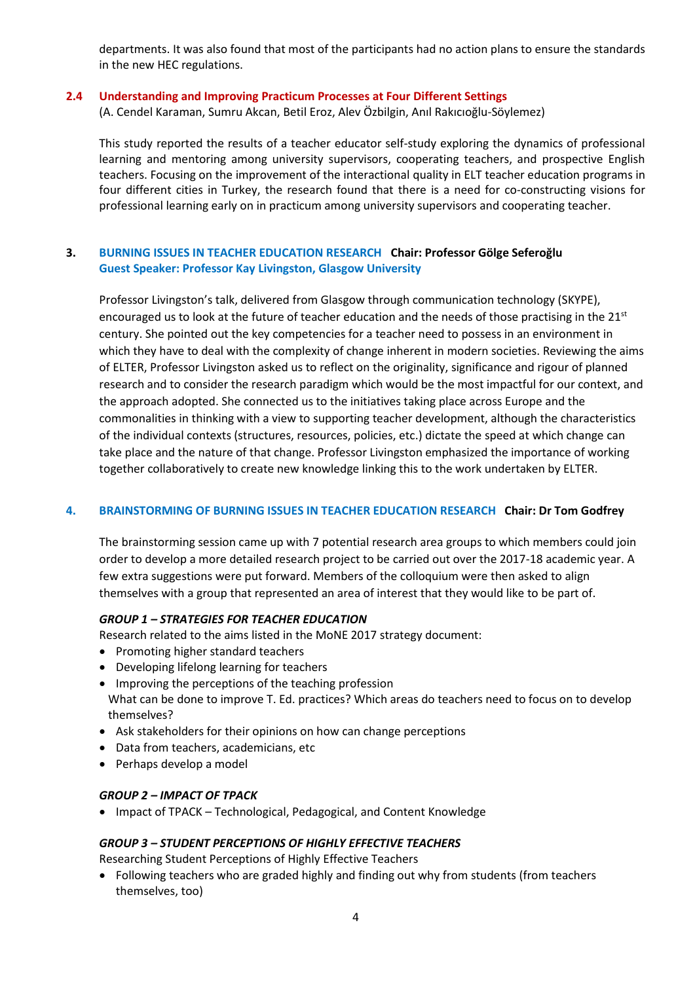departments. It was also found that most of the participants had no action plans to ensure the standards in the new HEC regulations.

## **2.4 Understanding and Improving Practicum Processes at Four Different Settings**

(A. Cendel Karaman, Sumru Akcan, Betil Eroz, Alev Özbilgin, Anıl Rakıcıoğlu-Söylemez)

This study reported the results of a teacher educator self-study exploring the dynamics of professional learning and mentoring among university supervisors, cooperating teachers, and prospective English teachers. Focusing on the improvement of the interactional quality in ELT teacher education programs in four different cities in Turkey, the research found that there is a need for co-constructing visions for professional learning early on in practicum among university supervisors and cooperating teacher.

# **3. BURNING ISSUES IN TEACHER EDUCATION RESEARCH Chair: Professor Gölge Seferoğlu Guest Speaker: Professor Kay Livingston, Glasgow University**

Professor Livingston's talk, delivered from Glasgow through communication technology (SKYPE), encouraged us to look at the future of teacher education and the needs of those practising in the 21st century. She pointed out the key competencies for a teacher need to possess in an environment in which they have to deal with the complexity of change inherent in modern societies. Reviewing the aims of ELTER, Professor Livingston asked us to reflect on the originality, significance and rigour of planned research and to consider the research paradigm which would be the most impactful for our context, and the approach adopted. She connected us to the initiatives taking place across Europe and the commonalities in thinking with a view to supporting teacher development, although the characteristics of the individual contexts (structures, resources, policies, etc.) dictate the speed at which change can take place and the nature of that change. Professor Livingston emphasized the importance of working together collaboratively to create new knowledge linking this to the work undertaken by ELTER.

## **4. BRAINSTORMING OF BURNING ISSUES IN TEACHER EDUCATION RESEARCH Chair: Dr Tom Godfrey**

The brainstorming session came up with 7 potential research area groups to which members could join order to develop a more detailed research project to be carried out over the 2017-18 academic year. A few extra suggestions were put forward. Members of the colloquium were then asked to align themselves with a group that represented an area of interest that they would like to be part of.

# *GROUP 1 – STRATEGIES FOR TEACHER EDUCATION*

Research related to the aims listed in the MoNE 2017 strategy document:

- Promoting higher standard teachers
- Developing lifelong learning for teachers
- Improving the perceptions of the teaching profession What can be done to improve T. Ed. practices? Which areas do teachers need to focus on to develop themselves?
- Ask stakeholders for their opinions on how can change perceptions
- Data from teachers, academicians, etc
- Perhaps develop a model

## *GROUP 2 – IMPACT OF TPACK*

• Impact of TPACK – Technological, Pedagogical, and Content Knowledge

## *GROUP 3 – STUDENT PERCEPTIONS OF HIGHLY EFFECTIVE TEACHERS*

Researching Student Perceptions of Highly Effective Teachers

• Following teachers who are graded highly and finding out why from students (from teachers themselves, too)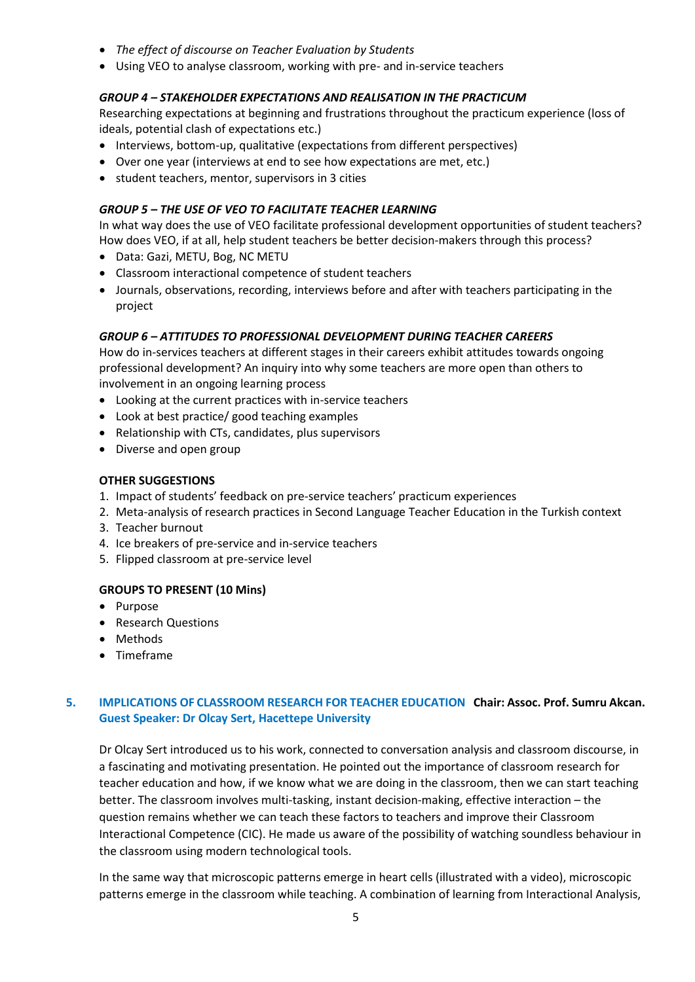- *The effect of discourse on Teacher Evaluation by Students*
- Using VEO to analyse classroom, working with pre- and in-service teachers

# *GROUP 4 – STAKEHOLDER EXPECTATIONS AND REALISATION IN THE PRACTICUM*

Researching expectations at beginning and frustrations throughout the practicum experience (loss of ideals, potential clash of expectations etc.)

- Interviews, bottom-up, qualitative (expectations from different perspectives)
- Over one year (interviews at end to see how expectations are met, etc.)
- student teachers, mentor, supervisors in 3 cities

# *GROUP 5 – THE USE OF VEO TO FACILITATE TEACHER LEARNING*

In what way does the use of VEO facilitate professional development opportunities of student teachers? How does VEO, if at all, help student teachers be better decision-makers through this process?

- Data: Gazi, METU, Bog, NC METU
- Classroom interactional competence of student teachers
- Journals, observations, recording, interviews before and after with teachers participating in the project

# *GROUP 6 – ATTITUDES TO PROFESSIONAL DEVELOPMENT DURING TEACHER CAREERS*

How do in-services teachers at different stages in their careers exhibit attitudes towards ongoing professional development? An inquiry into why some teachers are more open than others to involvement in an ongoing learning process

- Looking at the current practices with in-service teachers
- Look at best practice/ good teaching examples
- Relationship with CTs, candidates, plus supervisors
- Diverse and open group

## **OTHER SUGGESTIONS**

- 1. Impact of students' feedback on pre-service teachers' practicum experiences
- 2. Meta-analysis of research practices in Second Language Teacher Education in the Turkish context
- 3. Teacher burnout
- 4. Ice breakers of pre-service and in-service teachers
- 5. Flipped classroom at pre-service level

## **GROUPS TO PRESENT (10 Mins)**

- Purpose
- Research Questions
- Methods
- Timeframe

# **5. IMPLICATIONS OF CLASSROOM RESEARCH FOR TEACHER EDUCATION Chair: Assoc. Prof. Sumru Akcan. Guest Speaker: Dr Olcay Sert, Hacettepe University**

Dr Olcay Sert introduced us to his work, connected to conversation analysis and classroom discourse, in a fascinating and motivating presentation. He pointed out the importance of classroom research for teacher education and how, if we know what we are doing in the classroom, then we can start teaching better. The classroom involves multi-tasking, instant decision-making, effective interaction – the question remains whether we can teach these factors to teachers and improve their Classroom Interactional Competence (CIC). He made us aware of the possibility of watching soundless behaviour in the classroom using modern technological tools.

In the same way that microscopic patterns emerge in heart cells (illustrated with a video), microscopic patterns emerge in the classroom while teaching. A combination of learning from Interactional Analysis,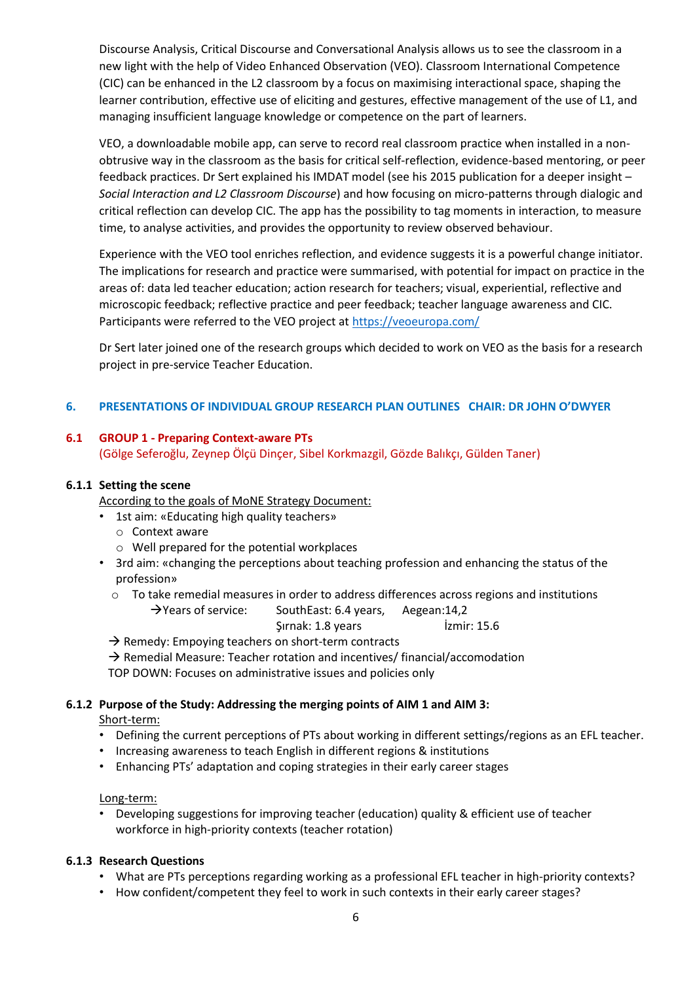Discourse Analysis, Critical Discourse and Conversational Analysis allows us to see the classroom in a new light with the help of Video Enhanced Observation (VEO). Classroom International Competence (CIC) can be enhanced in the L2 classroom by a focus on maximising interactional space, shaping the learner contribution, effective use of eliciting and gestures, effective management of the use of L1, and managing insufficient language knowledge or competence on the part of learners.

VEO, a downloadable mobile app, can serve to record real classroom practice when installed in a nonobtrusive way in the classroom as the basis for critical self-reflection, evidence-based mentoring, or peer feedback practices. Dr Sert explained his IMDAT model (see his 2015 publication for a deeper insight – *Social Interaction and L2 Classroom Discourse*) and how focusing on micro-patterns through dialogic and critical reflection can develop CIC. The app has the possibility to tag moments in interaction, to measure time, to analyse activities, and provides the opportunity to review observed behaviour.

Experience with the VEO tool enriches reflection, and evidence suggests it is a powerful change initiator. The implications for research and practice were summarised, with potential for impact on practice in the areas of: data led teacher education; action research for teachers; visual, experiential, reflective and microscopic feedback; reflective practice and peer feedback; teacher language awareness and CIC. Participants were referred to the VEO project at<https://veoeuropa.com/>

Dr Sert later joined one of the research groups which decided to work on VEO as the basis for a research project in pre-service Teacher Education.

# **6. PRESENTATIONS OF INDIVIDUAL GROUP RESEARCH PLAN OUTLINES CHAIR: DR JOHN O'DWYER**

# **6.1 GROUP 1 - Preparing Context-aware PTs**

(Gölge Seferoğlu, Zeynep Ölçü Dinçer, Sibel Korkmazgil, Gözde Balıkçı, Gülden Taner)

#### **6.1.1 Setting the scene**

According to the goals of MoNE Strategy Document:

- 1st aim: «Educating high quality teachers»
	- o Context aware
	- o Well prepared for the potential workplaces
- 3rd aim: «changing the perceptions about teaching profession and enhancing the status of the profession»
	- $\circ$  To take remedial measures in order to address differences across regions and institutions
		- → Years of service: SouthEast: 6.4 years, Aegean: 14,2

Şırnak: 1.8 years İzmir: 15.6

- $\rightarrow$  Remedy: Empoying teachers on short-term contracts
- $\rightarrow$  Remedial Measure: Teacher rotation and incentives/ financial/accomodation

TOP DOWN: Focuses on administrative issues and policies only

## **6.1.2 Purpose of the Study: Addressing the merging points of AIM 1 and AIM 3:**

Short-term:

- Defining the current perceptions of PTs about working in different settings/regions as an EFL teacher.
- Increasing awareness to teach English in different regions & institutions
- Enhancing PTs' adaptation and coping strategies in their early career stages

## Long-term:

• Developing suggestions for improving teacher (education) quality & efficient use of teacher workforce in high-priority contexts (teacher rotation)

## **6.1.3 Research Questions**

- What are PTs perceptions regarding working as a professional EFL teacher in high-priority contexts?
- How confident/competent they feel to work in such contexts in their early career stages?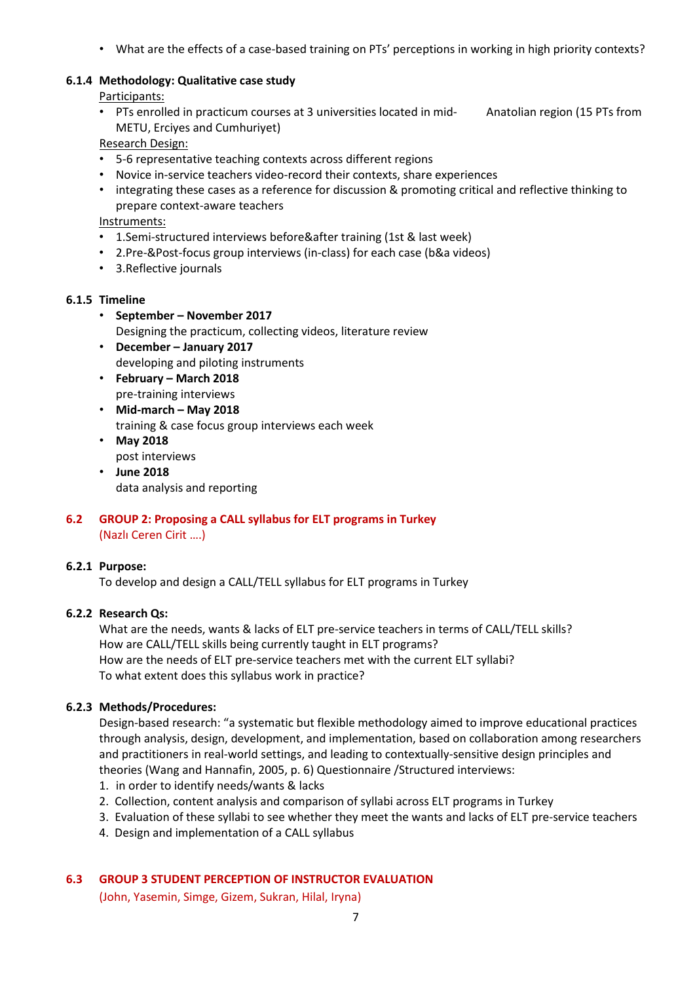• What are the effects of a case-based training on PTs' perceptions in working in high priority contexts?

# **6.1.4 Methodology: Qualitative case study**

Participants:

• PTs enrolled in practicum courses at 3 universities located in mid- Anatolian region (15 PTs from METU, Erciyes and Cumhuriyet)

Research Design:

- 5-6 representative teaching contexts across different regions
- Novice in-service teachers video-record their contexts, share experiences
- integrating these cases as a reference for discussion & promoting critical and reflective thinking to prepare context-aware teachers

Instruments:

- 1.Semi-structured interviews before&after training (1st & last week)
- 2.Pre-&Post-focus group interviews (in-class) for each case (b&a videos)
- 3.Reflective journals

# **6.1.5 Timeline**

- **September – November 2017** Designing the practicum, collecting videos, literature review
- **December – January 2017** developing and piloting instruments
- **February – March 2018** pre-training interviews
- **Mid-march – May 2018** training & case focus group interviews each week
- **May 2018** post interviews
- **June 2018** data analysis and reporting

# **6.2 GROUP 2: Proposing a CALL syllabus for ELT programs in Turkey** (Nazlı Ceren Cirit ….)

## **6.2.1 Purpose:**

To develop and design a CALL/TELL syllabus for ELT programs in Turkey

# **6.2.2 Research Qs:**

What are the needs, wants & lacks of ELT pre-service teachers in terms of CALL/TELL skills? How are CALL/TELL skills being currently taught in ELT programs? How are the needs of ELT pre-service teachers met with the current ELT syllabi? To what extent does this syllabus work in practice?

# **6.2.3 Methods/Procedures:**

Design-based research: "a systematic but flexible methodology aimed to improve educational practices through analysis, design, development, and implementation, based on collaboration among researchers and practitioners in real-world settings, and leading to contextually-sensitive design principles and theories (Wang and Hannafin, 2005, p. 6) Questionnaire /Structured interviews:

- 1. in order to identify needs/wants & lacks
- 2. Collection, content analysis and comparison of syllabi across ELT programs in Turkey
- 3. Evaluation of these syllabi to see whether they meet the wants and lacks of ELT pre-service teachers
- 4. Design and implementation of a CALL syllabus

## **6.3 GROUP 3 STUDENT PERCEPTION OF INSTRUCTOR EVALUATION**

(John, Yasemin, Simge, Gizem, Sukran, Hilal, Iryna)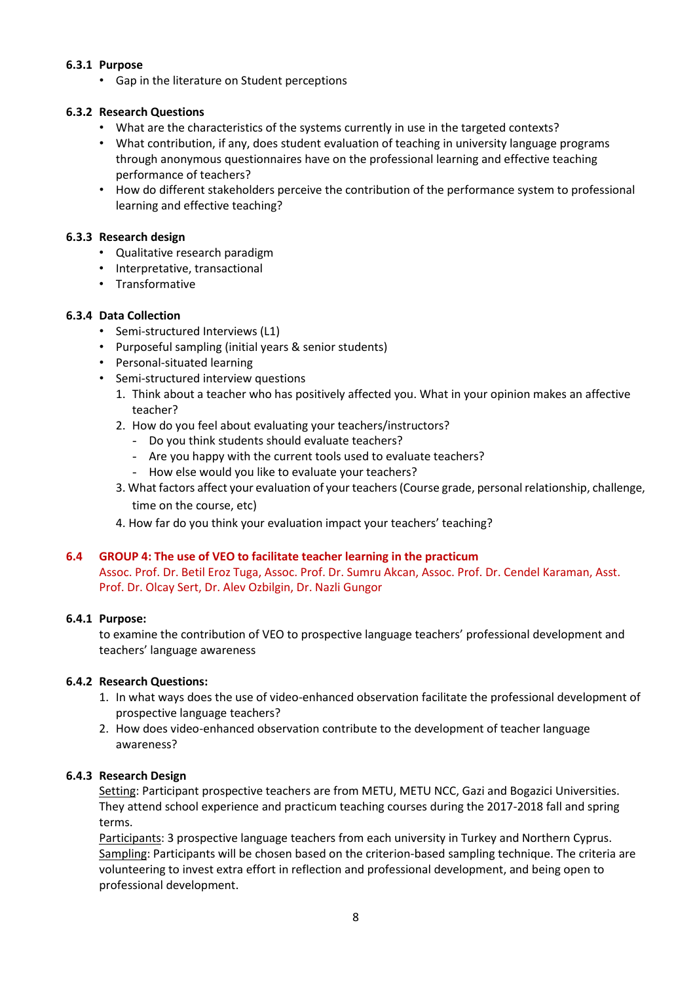# **6.3.1 Purpose**

• Gap in the literature on Student perceptions

# **6.3.2 Research Questions**

- What are the characteristics of the systems currently in use in the targeted contexts?
- What contribution, if any, does student evaluation of teaching in university language programs through anonymous questionnaires have on the professional learning and effective teaching performance of teachers?
- How do different stakeholders perceive the contribution of the performance system to professional learning and effective teaching?

# **6.3.3 Research design**

- Qualitative research paradigm
- Interpretative, transactional
- Transformative

# **6.3.4 Data Collection**

- Semi-structured Interviews (L1)
- Purposeful sampling (initial years & senior students)
- Personal-situated learning
- Semi-structured interview questions
	- 1. Think about a teacher who has positively affected you. What in your opinion makes an affective teacher?
	- 2. How do you feel about evaluating your teachers/instructors?
		- Do you think students should evaluate teachers?
		- Are you happy with the current tools used to evaluate teachers?
		- How else would you like to evaluate your teachers?
	- 3. What factors affect your evaluation of your teachers (Course grade, personal relationship, challenge, time on the course, etc)
	- 4. How far do you think your evaluation impact your teachers' teaching?

## **6.4 GROUP 4: The use of VEO to facilitate teacher learning in the practicum**

Assoc. Prof. Dr. Betil Eroz Tuga, Assoc. Prof. Dr. Sumru Akcan, Assoc. Prof. Dr. Cendel Karaman, Asst. Prof. Dr. Olcay Sert, Dr. Alev Ozbilgin, Dr. Nazli Gungor

## **6.4.1 Purpose:**

to examine the contribution of VEO to prospective language teachers' professional development and teachers' language awareness

## **6.4.2 Research Questions:**

- 1. In what ways does the use of video-enhanced observation facilitate the professional development of prospective language teachers?
- 2. How does video-enhanced observation contribute to the development of teacher language awareness?

## **6.4.3 Research Design**

Setting: Participant prospective teachers are from METU, METU NCC, Gazi and Bogazici Universities. They attend school experience and practicum teaching courses during the 2017-2018 fall and spring terms.

Participants: 3 prospective language teachers from each university in Turkey and Northern Cyprus. Sampling: Participants will be chosen based on the criterion-based sampling technique. The criteria are volunteering to invest extra effort in reflection and professional development, and being open to professional development.